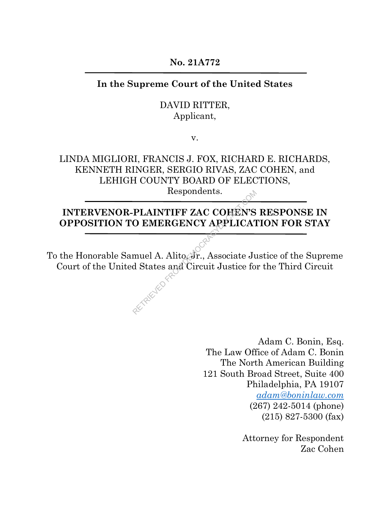**No. 21A772**

### **In the Supreme Court of the United States**

### DAVID RITTER, Applicant,

v.

# LINDA MIGLIORI, FRANCIS J. FOX, RICHARD E. RICHARDS, KENNETH RINGER, SERGIO RIVAS, ZAC COHEN, and LEHIGH COUNTY BOARD OF ELECTIONS,

Respondents.

## **INTERVENOR-PLAINTIFF ZAC COHEN'S RESPONSE IN OPPOSITION TO EMERGENCY APPLICATION FOR STAY**

To the Honorable Samuel A. Alito, Jr., Associate Justice of the Supreme Court of the United States and Circuit Justice for the Third Circuit RETRIEVED FROM

> Adam C. Bonin, Esq. The Law Office of Adam C. Bonin The North American Building 121 South Broad Street, Suite 400 Philadelphia, PA 19107 *adam@boninlaw.com* (267) 242-5014 (phone) (215) 827-5300 (fax)

> > Attorney for Respondent Zac Cohen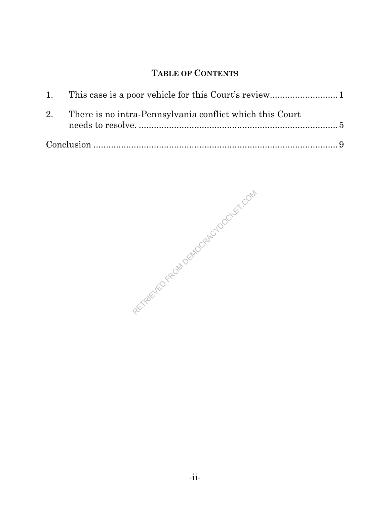## **TABLE OF CONTENTS**

| 2. There is no intra-Pennsylvania conflict which this Court |  |
|-------------------------------------------------------------|--|
|                                                             |  |

RETREVED FROM DEMOCRACY DOCKET. COM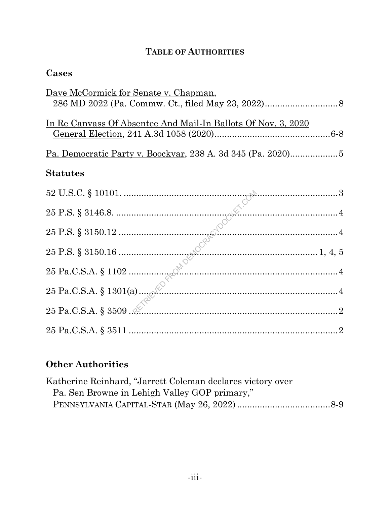# **TABLE OF AUTHORITIES**

## **Cases**

| <u>Dave McCormick for Senate v. Chapman,</u>                         |
|----------------------------------------------------------------------|
|                                                                      |
| <u>In Re Canvass Of Absentee And Mail-In Ballots Of Nov. 3, 2020</u> |
|                                                                      |
| <b>Statutes</b>                                                      |
|                                                                      |
|                                                                      |
|                                                                      |
|                                                                      |
|                                                                      |
|                                                                      |
|                                                                      |
| $25 \text{ Pa.C.S.A.} \$ $3511 \dots 2$                              |

# **Other Authorities**

| Katherine Reinhard, "Jarrett Coleman declares victory over |  |
|------------------------------------------------------------|--|
| Pa. Sen Browne in Lehigh Valley GOP primary,"              |  |
|                                                            |  |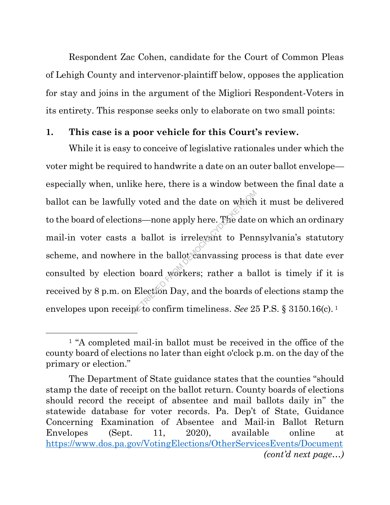Respondent Zac Cohen, candidate for the Court of Common Pleas of Lehigh County and intervenor-plaintiff below, opposes the application for stay and joins in the argument of the Migliori Respondent-Voters in its entirety. This response seeks only to elaborate on two small points:

### **1. This case is a poor vehicle for this Court's review.**

While it is easy to conceive of legislative rationales under which the voter might be required to handwrite a date on an outer ballot envelope especially when, unlike here, there is a window between the final date a ballot can be lawfully voted and the date on which it must be delivered to the board of elections—none apply here. The date on which an ordinary mail-in voter casts a ballot is irrelevant to Pennsylvania's statutory scheme, and nowhere in the ballot canvassing process is that date ever consulted by election board workers; rather a ballot is timely if it is received by 8 p.m. on Election Day, and the boards of elections stamp the envelopes upon receipt to confirm timeliness. *See* 25 P.S. § 3150.16(c). 1 w voted and the date on which<br>ns—none apply here. The date<br>a ballot is irrelevant to Penn<br>e in the ballot canvassing process in the ballot canvassing process<br>how board workers; rather a ba<br>Election Day, and the boards of

<sup>&</sup>lt;sup>1</sup> "A completed mail-in ballot must be received in the office of the county board of elections no later than eight o'clock p.m. on the day of the primary or election."

The Department of State guidance states that the counties "should stamp the date of receipt on the ballot return. County boards of elections should record the receipt of absentee and mail ballots daily in" the statewide database for voter records. Pa. Dep't of State, Guidance Concerning Examination of Absentee and Mail-in Ballot Return Envelopes (Sept. 11, 2020), available online at https://www.dos.pa.gov/VotingElections/OtherServicesEvents/Document *(cont'd next page…)*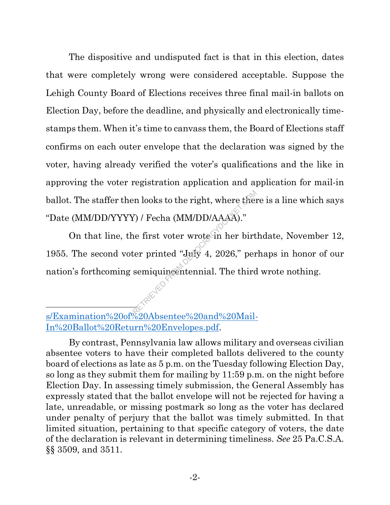The dispositive and undisputed fact is that in this election, dates that were completely wrong were considered acceptable. Suppose the Lehigh County Board of Elections receives three final mail-in ballots on Election Day, before the deadline, and physically and electronically timestamps them. When it's time to canvass them, the Board of Elections staff confirms on each outer envelope that the declaration was signed by the voter, having already verified the voter's qualifications and the like in approving the voter registration application and application for mail-in ballot. The staffer then looks to the right, where there is a line which says "Date (MM/DD/YYYY) / Fecha (MM/DD/AAAA)."

On that line, the first voter wrote in her birthdate, November 12, 1955. The second voter printed "July 4, 2026," perhaps in honor of our nation's forthcoming semiquincentennial. The third wrote nothing. en looks to the right, where then<br>  $\ell$ ) / Fecha (MM/DD/AAAA)."<br>
he first voter wrote in her birt<br>
ter printed "July 4, 2026," per<br>
semiquingentennial. The third<br>
second in the second in the second in the second in the se

s/Examination%20of%20Absentee%20and%20Mail-In%20Ballot%20Return%20Envelopes.pdf.

By contrast, Pennsylvania law allows military and overseas civilian absentee voters to have their completed ballots delivered to the county board of elections as late as 5 p.m. on the Tuesday following Election Day, so long as they submit them for mailing by 11:59 p.m. on the night before Election Day. In assessing timely submission, the General Assembly has expressly stated that the ballot envelope will not be rejected for having a late, unreadable, or missing postmark so long as the voter has declared under penalty of perjury that the ballot was timely submitted. In that limited situation, pertaining to that specific category of voters, the date of the declaration is relevant in determining timeliness. *See* 25 Pa.C.S.A. §§ 3509, and 3511.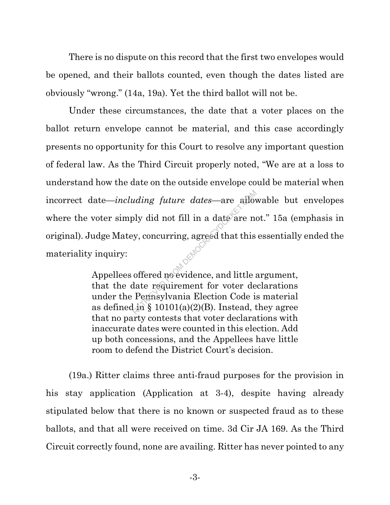There is no dispute on this record that the first two envelopes would be opened, and their ballots counted, even though the dates listed are obviously "wrong." (14a, 19a). Yet the third ballot will not be.

Under these circumstances, the date that a voter places on the ballot return envelope cannot be material, and this case accordingly presents no opportunity for this Court to resolve any important question of federal law. As the Third Circuit properly noted, "We are at a loss to understand how the date on the outside envelope could be material when incorrect date—*including future dates*—are allowable but envelopes where the voter simply did not fill in a date are not." 15a (emphasis in original). Judge Matey, concurring, agreed that this essentially ended the materiality inquiry: *uding future dates*—are allow<br>bly did not fill in a date are not<br>y, concurring, agreed that this<br>offered no evidence, and little a<br>date requirement for voter de<br>Pennsylvania Election Code is<br>lin § 10101(a)(2)(B). Instead,

Appellees offered no evidence, and little argument, that the date requirement for voter declarations under the Pennsylvania Election Code is material as defined in  $\S$  10101(a)(2)(B). Instead, they agree that no party contests that voter declarations with inaccurate dates were counted in this election. Add up both concessions, and the Appellees have little room to defend the District Court's decision.

(19a.) Ritter claims three anti-fraud purposes for the provision in his stay application (Application at 3-4), despite having already stipulated below that there is no known or suspected fraud as to these ballots, and that all were received on time. 3d Cir JA 169. As the Third Circuit correctly found, none are availing. Ritter has never pointed to any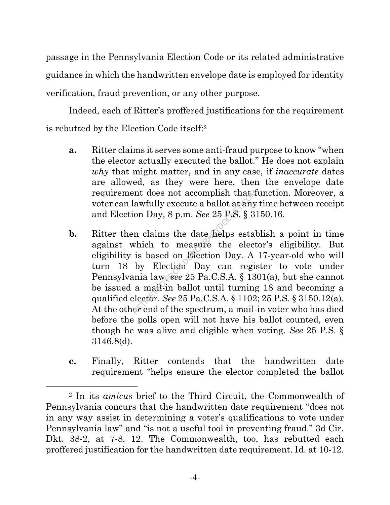passage in the Pennsylvania Election Code or its related administrative guidance in which the handwritten envelope date is employed for identity verification, fraud prevention, or any other purpose.

Indeed, each of Ritter's proffered justifications for the requirement is rebutted by the Election Code itself: 2

- **a.** Ritter claims it serves some anti-fraud purpose to know "when the elector actually executed the ballot." He does not explain *why* that might matter, and in any case, if *inaccurate* dates are allowed, as they were here, then the envelope date requirement does not accomplish that function. Moreover, a voter can lawfully execute a ballot at any time between receipt and Election Day, 8 p.m. *See* 25 P.S. § 3150.16.
- **b.** Ritter then claims the date helps establish a point in time against which to measure the elector's eligibility. But eligibility is based on Election Day. A 17-year-old who will turn 18 by Election Day can register to vote under Pennsylvania law, *see* 25 Pa.C.S.A. § 1301(a), but she cannot be issued a mail-in ballot until turning 18 and becoming a qualified elector. *See* 25 Pa.C.S.A. § 1102; 25 P.S. § 3150.12(a). At the other end of the spectrum, a mail-in voter who has died before the polls open will not have his ballot counted, even though he was alive and eligible when voting. *See* 25 P.S. § 3146.8(d). ent does not accomplish that lawfully execute a ballot at any<br>ion Day, 8 p.m. See 25 P.S. § 3<br>in claims the date helps estal<br>which to measure the elect<br>is based on Election Day. A<br>by Election Day can regis<br>unia law, see 2
- **c.** Finally, Ritter contends that the handwritten date requirement "helps ensure the elector completed the ballot

<sup>2</sup> In its *amicus* brief to the Third Circuit, the Commonwealth of Pennsylvania concurs that the handwritten date requirement "does not in any way assist in determining a voter's qualifications to vote under Pennsylvania law" and "is not a useful tool in preventing fraud." 3d Cir. Dkt. 38-2, at 7-8, 12. The Commonwealth, too, has rebutted each proffered justification for the handwritten date requirement. Id. at 10-12.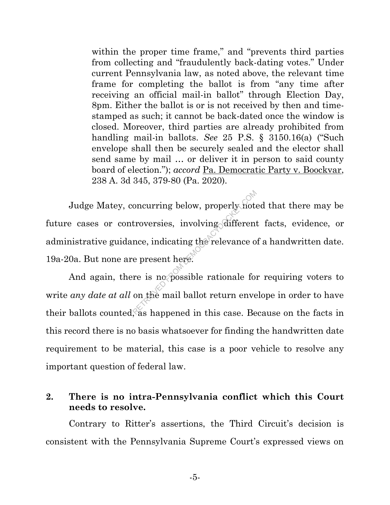within the proper time frame," and "prevents third parties" from collecting and "fraudulently back-dating votes." Under current Pennsylvania law, as noted above, the relevant time frame for completing the ballot is from "any time after receiving an official mail-in ballot" through Election Day, 8pm. Either the ballot is or is not received by then and timestamped as such; it cannot be back-dated once the window is closed. Moreover, third parties are already prohibited from handling mail-in ballots. *See* 25 P.S. § 3150.16(a) ("Such envelope shall then be securely sealed and the elector shall send same by mail … or deliver it in person to said county board of election."); *accord* Pa. Democratic Party v. Boockvar, 238 A. 3d 345, 379-80 (Pa. 2020).

Judge Matey, concurring below, properly noted that there may be future cases or controversies, involving different facts, evidence, or administrative guidance, indicating the relevance of a handwritten date. 19a-20a. But none are present here. oncurring below, properly not<br>troversies, involving different<br>nce, indicating the relevance of<br>e present here.<br>The mail ballot return enverses because the mail ballot return enverses.

And again, there is no possible rationale for requiring voters to write *any date at all* on the mail ballot return envelope in order to have their ballots counted, as happened in this case. Because on the facts in this record there is no basis whatsoever for finding the handwritten date requirement to be material, this case is a poor vehicle to resolve any important question of federal law.

### **2. There is no intra-Pennsylvania conflict which this Court needs to resolve.**

Contrary to Ritter's assertions, the Third Circuit's decision is consistent with the Pennsylvania Supreme Court's expressed views on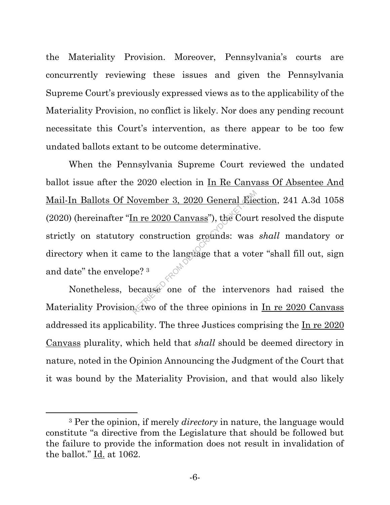the Materiality Provision. Moreover, Pennsylvania's courts are concurrently reviewing these issues and given the Pennsylvania Supreme Court's previously expressed views as to the applicability of the Materiality Provision, no conflict is likely. Nor does any pending recount necessitate this Court's intervention, as there appear to be too few undated ballots extant to be outcome determinative.

When the Pennsylvania Supreme Court reviewed the undated ballot issue after the 2020 election in In Re Canvass Of Absentee And Mail-In Ballots Of November 3, 2020 General Election, 241 A.3d 1058 (2020) (hereinafter "In re 2020 Canvass"), the Court resolved the dispute strictly on statutory construction grounds: was *shall* mandatory or directory when it came to the language that a voter "shall fill out, sign and date" the envelope? 3 From Demokracy 2020 General From the Court construction grounds: was<br>ne to the language that a vote<br>be?<sup>3</sup> ecause one of the intervention of the intervention of the intervention of the intervention of the three opinions i

Nonetheless, because one of the intervenors had raised the Materiality Provision, two of the three opinions in In re 2020 Canvass addressed its applicability. The three Justices comprising the In re 2020 Canvass plurality, which held that *shall* should be deemed directory in nature, noted in the Opinion Announcing the Judgment of the Court that it was bound by the Materiality Provision, and that would also likely

<sup>3</sup> Per the opinion, if merely *directory* in nature, the language would constitute "a directive from the Legislature that should be followed but the failure to provide the information does not result in invalidation of the ballot." Id. at 1062.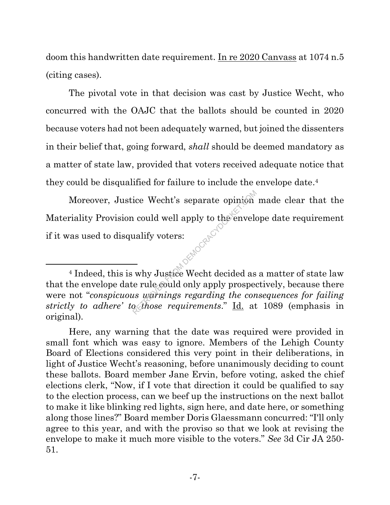doom this handwritten date requirement. In re 2020 Canvass at 1074 n.5 (citing cases).

The pivotal vote in that decision was cast by Justice Wecht, who concurred with the OAJC that the ballots should be counted in 2020 because voters had not been adequately warned, but joined the dissenters in their belief that, going forward, *shall* should be deemed mandatory as a matter of state law, provided that voters received adequate notice that they could be disqualified for failure to include the envelope date. 4

Moreover, Justice Wecht's separate opinion made clear that the Materiality Provision could well apply to the envelope date requirement if it was used to disqualify voters: **PLANSCRACHT** 

<sup>&</sup>lt;sup>4</sup> Indeed, this is why Justice Wecht decided as a matter of state law that the envelope date rule could only apply prospectively, because there were not "*conspicuous warnings regarding the consequences for failing strictly to adhere' to those requirements*." Id. at 1089 (emphasis in original).

Here, any warning that the date was required were provided in small font which was easy to ignore. Members of the Lehigh County Board of Elections considered this very point in their deliberations, in light of Justice Wecht's reasoning, before unanimously deciding to count these ballots. Board member Jane Ervin, before voting, asked the chief elections clerk, "Now, if I vote that direction it could be qualified to say to the election process, can we beef up the instructions on the next ballot to make it like blinking red lights, sign here, and date here, or something along those lines?" Board member Doris Glaessmann concurred: "I'll only agree to this year, and with the proviso so that we look at revising the envelope to make it much more visible to the voters." *See* 3d Cir JA 250- 51.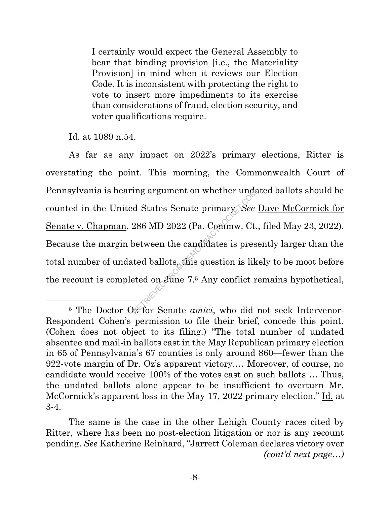I certainly would expect the General Assembly to bear that binding provision [i.e., the Materiality Provision] in mind when it reviews our Election Code. It is inconsistent with protecting the right to vote to insert more impediments to its exercise than considerations of fraud, election security, and voter qualifications require.

Id. at 1089 n.54.

As far as any impact on 2022's primary elections, Ritter is overstating the point. This morning, the Commonwealth Court of Pennsylvania is hearing argument on whether undated ballots should be counted in the United States Senate primary. *See* Dave McCormick for Senate v. Chapman, 286 MD 2022 (Pa. Commw. Ct., filed May 23, 2022). Because the margin between the candidates is presently larger than the total number of undated ballots, this question is likely to be moot before the recount is completed on June 7. <sup>5</sup> Any conflict remains hypothetical, Ing argument on whether under<br>d States Senate primary See<br>286 MD 2022 (Pa. Commw. Ct.<br>between the candidates is pres<br>ted ballots, this question is liked on June 7.5 Any conflict r

<sup>&</sup>lt;sup>5</sup> The Doctor Oz for Senate *amici*, who did not seek Intervenor-Respondent Cohen's permission to file their brief, concede this point. (Cohen does not object to its filing.) "The total number of undated absentee and mail-in ballots cast in the May Republican primary election in 65 of Pennsylvania's 67 counties is only around 860—fewer than the 922-vote margin of Dr. Oz's apparent victory.… Moreover, of course, no candidate would receive 100% of the votes cast on such ballots … Thus, the undated ballots alone appear to be insufficient to overturn Mr. McCormick's apparent loss in the May 17, 2022 primary election." Id. at 3-4.

The same is the case in the other Lehigh County races cited by Ritter, where has been no post-election litigation or nor is any recount pending. *See* Katherine Reinhard, "Jarrett Coleman declares victory over *(cont'd next page…)*